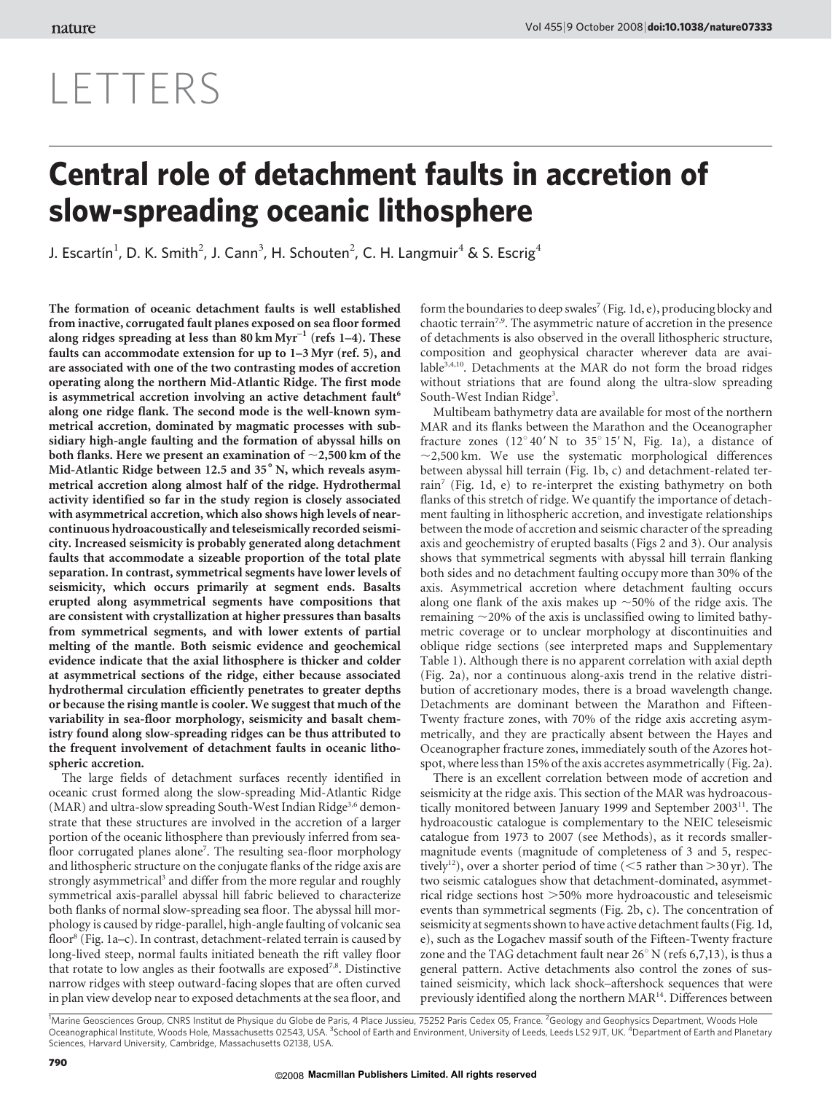# LETTERS

# Central role of detachment faults in accretion of slow-spreading oceanic lithosphere

J. Escartín<sup>1</sup>, D. K. Smith<sup>2</sup>, J. Cann<sup>3</sup>, H. Schouten<sup>2</sup>, C. H. Langmuir<sup>4</sup> & S. Escrig<sup>4</sup>

The formation of oceanic detachment faults is well established from inactive, corrugated fault planes exposed on sea floor formed along ridges spreading at less than 80 km  $Myr^{-1}$  (refs 1–4). These faults can accommodate extension for up to 1–3 Myr (ref. 5), and are associated with one of the two contrasting modes of accretion operating along the northern Mid-Atlantic Ridge. The first mode is asymmetrical accretion involving an active detachment fault<sup>6</sup> along one ridge flank. The second mode is the well-known symmetrical accretion, dominated by magmatic processes with subsidiary high-angle faulting and the formation of abyssal hills on both flanks. Here we present an examination of  $\sim$  2,500 km of the Mid-Atlantic Ridge between 12.5 and 35° N, which reveals asymmetrical accretion along almost half of the ridge. Hydrothermal activity identified so far in the study region is closely associated with asymmetrical accretion, which also shows high levels of nearcontinuous hydroacoustically and teleseismically recorded seismicity. Increased seismicity is probably generated along detachment faults that accommodate a sizeable proportion of the total plate separation. In contrast, symmetrical segments have lower levels of seismicity, which occurs primarily at segment ends. Basalts erupted along asymmetrical segments have compositions that are consistent with crystallization at higher pressures than basalts from symmetrical segments, and with lower extents of partial melting of the mantle. Both seismic evidence and geochemical evidence indicate that the axial lithosphere is thicker and colder at asymmetrical sections of the ridge, either because associated hydrothermal circulation efficiently penetrates to greater depths or because the rising mantle is cooler. We suggest that much of the variability in sea-floor morphology, seismicity and basalt chemistry found along slow-spreading ridges can be thus attributed to the frequent involvement of detachment faults in oceanic lithospheric accretion.

The large fields of detachment surfaces recently identified in oceanic crust formed along the slow-spreading Mid-Atlantic Ridge (MAR) and ultra-slow spreading South-West Indian Ridge<sup>3,6</sup> demonstrate that these structures are involved in the accretion of a larger portion of the oceanic lithosphere than previously inferred from seafloor corrugated planes alone<sup>7</sup>. The resulting sea-floor morphology and lithospheric structure on the conjugate flanks of the ridge axis are strongly asymmetrical<sup>3</sup> and differ from the more regular and roughly symmetrical axis-parallel abyssal hill fabric believed to characterize both flanks of normal slow-spreading sea floor. The abyssal hill morphology is caused by ridge-parallel, high-angle faulting of volcanic sea floor<sup>8</sup> (Fig. 1a–c). In contrast, detachment-related terrain is caused by long-lived steep, normal faults initiated beneath the rift valley floor that rotate to low angles as their footwalls are exposed<sup>7,8</sup>. Distinctive narrow ridges with steep outward-facing slopes that are often curved in plan view develop near to exposed detachments at the sea floor, and

form the boundaries to deep swales<sup>7</sup> (Fig. 1d, e), producing blocky and chaotic terrain<sup>7,9</sup>. The asymmetric nature of accretion in the presence of detachments is also observed in the overall lithospheric structure, composition and geophysical character wherever data are available $3,4,10$ . Detachments at the MAR do not form the broad ridges without striations that are found along the ultra-slow spreading South-West Indian Ridge<sup>3</sup>.

Multibeam bathymetry data are available for most of the northern MAR and its flanks between the Marathon and the Oceanographer fracture zones  $(12^{\circ}40' N$  to  $35^{\circ}15' N$ , Fig. 1a), a distance of  $\sim$ 2,500 km. We use the systematic morphological differences between abyssal hill terrain (Fig. 1b, c) and detachment-related terrain<sup>7</sup> (Fig. 1d, e) to re-interpret the existing bathymetry on both flanks of this stretch of ridge. We quantify the importance of detachment faulting in lithospheric accretion, and investigate relationships between the mode of accretion and seismic character of the spreading axis and geochemistry of erupted basalts (Figs 2 and 3). Our analysis shows that symmetrical segments with abyssal hill terrain flanking both sides and no detachment faulting occupy more than 30% of the axis. Asymmetrical accretion where detachment faulting occurs along one flank of the axis makes up  $\sim$  50% of the ridge axis. The remaining  $\sim$ 20% of the axis is unclassified owing to limited bathymetric coverage or to unclear morphology at discontinuities and oblique ridge sections (see interpreted maps and Supplementary Table 1). Although there is no apparent correlation with axial depth (Fig. 2a), nor a continuous along-axis trend in the relative distribution of accretionary modes, there is a broad wavelength change. Detachments are dominant between the Marathon and Fifteen-Twenty fracture zones, with 70% of the ridge axis accreting asymmetrically, and they are practically absent between the Hayes and Oceanographer fracture zones, immediately south of the Azores hotspot, where less than 15% of the axis accretes asymmetrically (Fig. 2a).

There is an excellent correlation between mode of accretion and seismicity at the ridge axis. This section of the MAR was hydroacoustically monitored between January 1999 and September 2003<sup>11</sup>. The hydroacoustic catalogue is complementary to the NEIC teleseismic catalogue from 1973 to 2007 (see Methods), as it records smallermagnitude events (magnitude of completeness of 3 and 5, respectively<sup>12</sup>), over a shorter period of time ( $<$ 5 rather than  $>$ 30 yr). The two seismic catalogues show that detachment-dominated, asymmetrical ridge sections host  $>50\%$  more hydroacoustic and teleseismic events than symmetrical segments (Fig. 2b, c). The concentration of seismicity at segments shown to have active detachment faults (Fig. 1d, e), such as the Logachev massif south of the Fifteen-Twenty fracture zone and the TAG detachment fault near  $26^{\circ}$  N (refs 6,7,13), is thus a general pattern. Active detachments also control the zones of sustained seismicity, which lack shock–aftershock sequences that were previously identified along the northern MAR14. Differences between

<sup>1</sup>Marine Geosciences Group, CNRS Institut de Physique du Globe de Paris, 4 Place Jussieu, 75252 Paris Cedex 05, France. <sup>2</sup>Geology and Geophysics Department, Woods Hole<br>Oceanographical Institute, Woods Hole, Massachusetts Sciences, Harvard University, Cambridge, Massachusetts 02138, USA.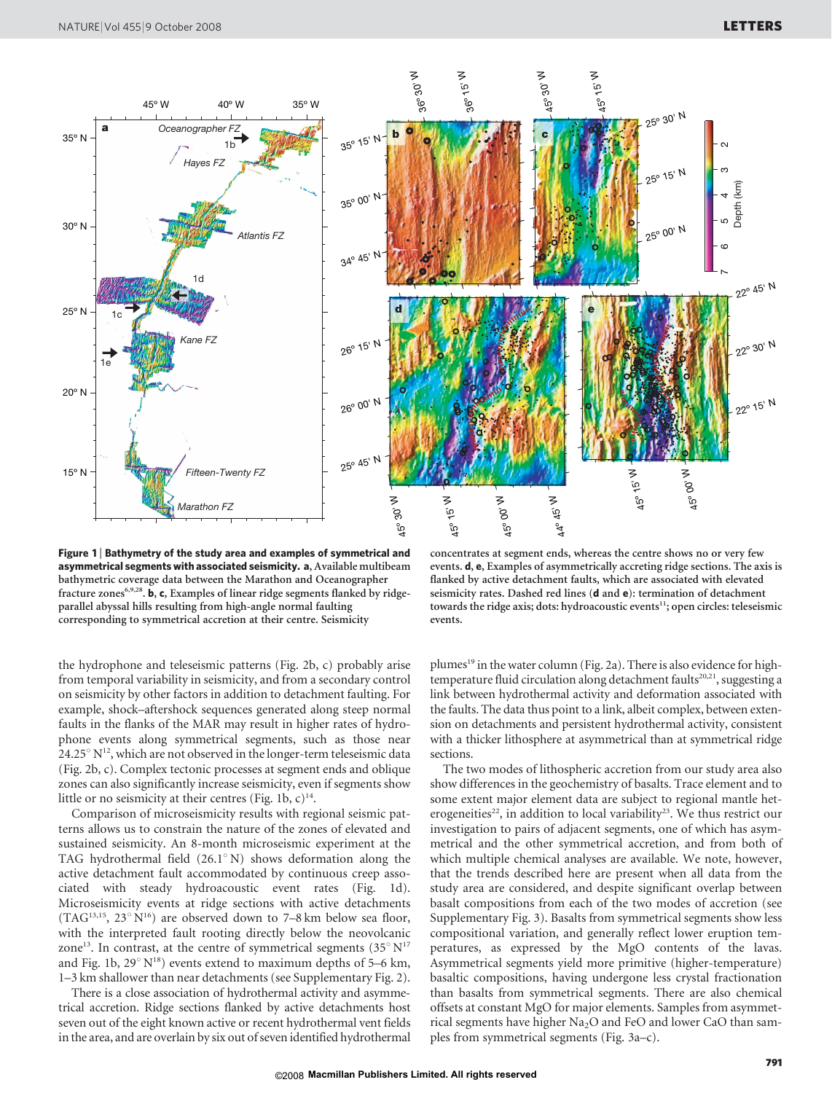

Figure 1 <sup>|</sup> Bathymetry of the study area and examples of symmetrical and asymmetrical segments with associated seismicity. a, Available multibeam bathymetric coverage data between the Marathon and Oceanographer fracture zones<sup>6,9,28</sup>. b, c, Examples of linear ridge segments flanked by ridgeparallel abyssal hills resulting from high-angle normal faulting corresponding to symmetrical accretion at their centre. Seismicity

concentrates at segment ends, whereas the centre shows no or very few events. d, e, Examples of asymmetrically accreting ridge sections. The axis is flanked by active detachment faults, which are associated with elevated seismicity rates. Dashed red lines (d and e): termination of detachment towards the ridge axis; dots: hydroacoustic events $11$ ; open circles: teleseismic events.

the hydrophone and teleseismic patterns (Fig. 2b, c) probably arise from temporal variability in seismicity, and from a secondary control on seismicity by other factors in addition to detachment faulting. For example, shock–aftershock sequences generated along steep normal faults in the flanks of the MAR may result in higher rates of hydrophone events along symmetrical segments, such as those near  $24.25^{\circ}$  N<sup>12</sup>, which are not observed in the longer-term teleseismic data (Fig. 2b, c). Complex tectonic processes at segment ends and oblique zones can also significantly increase seismicity, even if segments show little or no seismicity at their centres (Fig. 1b,  $c$ )<sup>14</sup>.

Comparison of microseismicity results with regional seismic patterns allows us to constrain the nature of the zones of elevated and sustained seismicity. An 8-month microseismic experiment at the TAG hydrothermal field  $(26.1^{\circ} N)$  shows deformation along the active detachment fault accommodated by continuous creep associated with steady hydroacoustic event rates (Fig. 1d). Microseismicity events at ridge sections with active detachments (TAG<sup>13,15</sup>, 23 $^{\circ}$  N<sup>16</sup>) are observed down to 7–8 km below sea floor, with the interpreted fault rooting directly below the neovolcanic zone<sup>13</sup>. In contrast, at the centre of symmetrical segments  $(35^{\circ} N^{17})$ and Fig. 1b,  $29^{\circ}$  N<sup>18</sup>) events extend to maximum depths of 5–6 km, 1–3 km shallower than near detachments (see Supplementary Fig. 2).

There is a close association of hydrothermal activity and asymmetrical accretion. Ridge sections flanked by active detachments host seven out of the eight known active or recent hydrothermal vent fields in the area, and are overlain by six out of seven identified hydrothermal

plumes<sup>19</sup> in the water column (Fig. 2a). There is also evidence for hightemperature fluid circulation along detachment faults<sup>20,21</sup>, suggesting a link between hydrothermal activity and deformation associated with the faults. The data thus point to a link, albeit complex, between extension on detachments and persistent hydrothermal activity, consistent with a thicker lithosphere at asymmetrical than at symmetrical ridge sections.

The two modes of lithospheric accretion from our study area also show differences in the geochemistry of basalts. Trace element and to some extent major element data are subject to regional mantle heterogeneities<sup>22</sup>, in addition to local variability<sup>23</sup>. We thus restrict our investigation to pairs of adjacent segments, one of which has asymmetrical and the other symmetrical accretion, and from both of which multiple chemical analyses are available. We note, however, that the trends described here are present when all data from the study area are considered, and despite significant overlap between basalt compositions from each of the two modes of accretion (see Supplementary Fig. 3). Basalts from symmetrical segments show less compositional variation, and generally reflect lower eruption temperatures, as expressed by the MgO contents of the lavas. Asymmetrical segments yield more primitive (higher-temperature) basaltic compositions, having undergone less crystal fractionation than basalts from symmetrical segments. There are also chemical offsets at constant MgO for major elements. Samples from asymmetrical segments have higher Na<sub>2</sub>O and FeO and lower CaO than sam-<br>ples from symmetrical segments (Fig. 3a–c).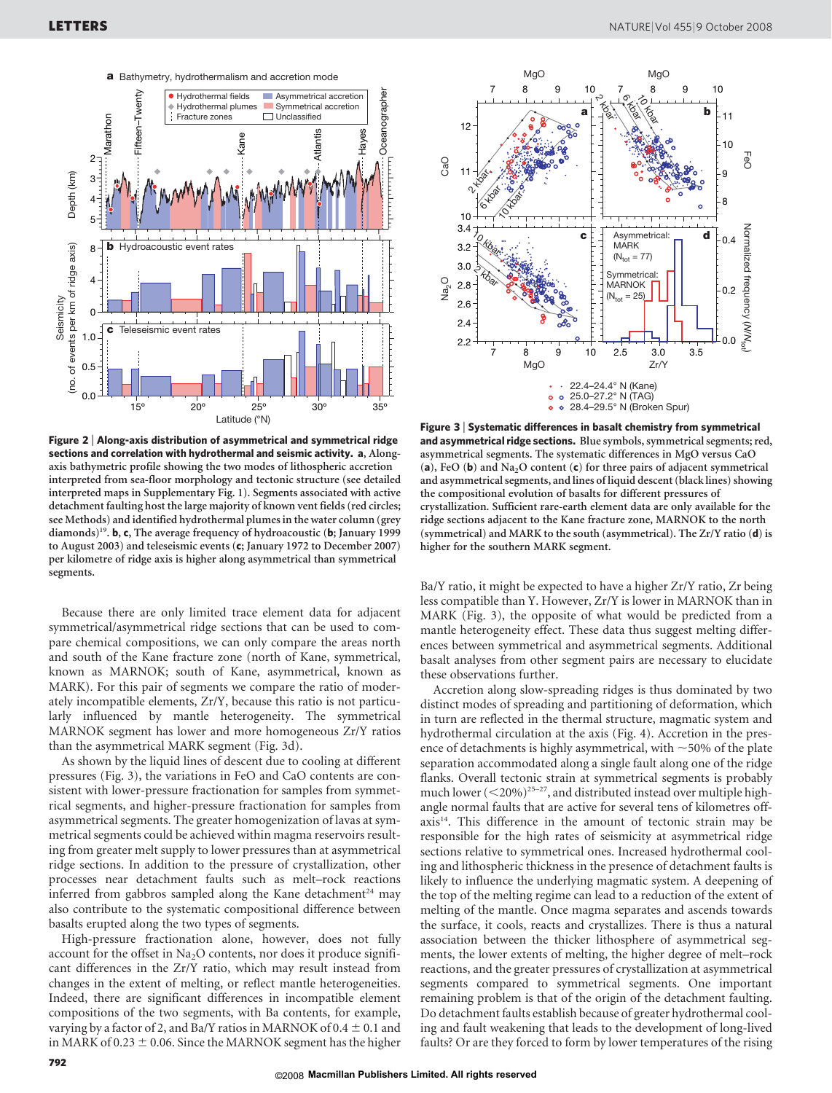



Figure 2 <sup>|</sup> Along-axis distribution of asymmetrical and symmetrical ridge sections and correlation with hydrothermal and seismic activity. a, Alongaxis bathymetric profile showing the two modes of lithospheric accretion interpreted from sea-floor morphology and tectonic structure (see detailed interpreted maps in Supplementary Fig. 1). Segments associated with active detachment faulting host the large majority of known vent fields (red circles; see Methods) and identified hydrothermal plumes in the water column (grey diamonds)<sup>19</sup>. **b**, **c**, The average frequency of hydroacoustic (**b**; January 1999 to August 2003) and teleseismic events (c; January 1972 to December 2007) per kilometre of ridge axis is higher along asymmetrical than symmetrical segments.

Because there are only limited trace element data for adjacent symmetrical/asymmetrical ridge sections that can be used to compare chemical compositions, we can only compare the areas north and south of the Kane fracture zone (north of Kane, symmetrical, known as MARNOK; south of Kane, asymmetrical, known as MARK). For this pair of segments we compare the ratio of moderately incompatible elements, Zr/Y, because this ratio is not particularly influenced by mantle heterogeneity. The symmetrical MARNOK segment has lower and more homogeneous Zr/Y ratios than the asymmetrical MARK segment (Fig. 3d).

As shown by the liquid lines of descent due to cooling at different pressures (Fig. 3), the variations in FeO and CaO contents are consistent with lower-pressure fractionation for samples from symmetrical segments, and higher-pressure fractionation for samples from asymmetrical segments. The greater homogenization of lavas at symmetrical segments could be achieved within magma reservoirs resulting from greater melt supply to lower pressures than at asymmetrical ridge sections. In addition to the pressure of crystallization, other processes near detachment faults such as melt–rock reactions inferred from gabbros sampled along the Kane detachment<sup>24</sup> may also contribute to the systematic compositional difference between basalts erupted along the two types of segments.

High-pressure fractionation alone, however, does not fully account for the offset in  $Na<sub>2</sub>O$  contents, nor does it produce significant differences in the Zr/Y ratio, which may result instead from changes in the extent of melting, or reflect mantle heterogeneities. Indeed, there are significant differences in incompatible element compositions of the two segments, with Ba contents, for example, varying by a factor of 2, and Ba/Y ratios in MARNOK of  $0.4 \pm 0.1$  and in MARK of 0.23  $\pm$  0.06. Since the MARNOK segment has the higher

Figure 3 <sup>|</sup> Systematic differences in basalt chemistry from symmetrical and asymmetrical ridge sections. Blue symbols, symmetrical segments; red, asymmetrical segments. The systematic differences in MgO versus CaO (a), FeO (b) and Na<sub>2</sub>O content (c) for three pairs of adjacent symmetrical and asymmetrical segments, and lines of liquid descent (black lines) showing the compositional evolution of basalts for different pressures of crystallization. Sufficient rare-earth element data are only available for the ridge sections adjacent to the Kane fracture zone, MARNOK to the north (symmetrical) and MARK to the south (asymmetrical). The Zr/Y ratio (d) is higher for the southern MARK segment.

Ba/Y ratio, it might be expected to have a higher Zr/Y ratio, Zr being less compatible than Y. However, Zr/Y is lower in MARNOK than in MARK (Fig. 3), the opposite of what would be predicted from a mantle heterogeneity effect. These data thus suggest melting differences between symmetrical and asymmetrical segments. Additional basalt analyses from other segment pairs are necessary to elucidate these observations further.

Accretion along slow-spreading ridges is thus dominated by two distinct modes of spreading and partitioning of deformation, which in turn are reflected in the thermal structure, magmatic system and hydrothermal circulation at the axis (Fig. 4). Accretion in the presence of detachments is highly asymmetrical, with  $\sim$  50% of the plate separation accommodated along a single fault along one of the ridge flanks. Overall tectonic strain at symmetrical segments is probably much lower  $(<$  20%)<sup>25-27</sup>, and distributed instead over multiple highangle normal faults that are active for several tens of kilometres off $axis<sup>14</sup>$ . This difference in the amount of tectonic strain may be responsible for the high rates of seismicity at asymmetrical ridge sections relative to symmetrical ones. Increased hydrothermal cooling and lithospheric thickness in the presence of detachment faults is likely to influence the underlying magmatic system. A deepening of the top of the melting regime can lead to a reduction of the extent of melting of the mantle. Once magma separates and ascends towards the surface, it cools, reacts and crystallizes. There is thus a natural association between the thicker lithosphere of asymmetrical segments, the lower extents of melting, the higher degree of melt–rock reactions, and the greater pressures of crystallization at asymmetrical segments compared to symmetrical segments. One important remaining problem is that of the origin of the detachment faulting. Do detachment faults establish because of greater hydrothermal cooling and fault weakening that leads to the development of long-lived faults? Or are they forced to form by lower temperatures of the rising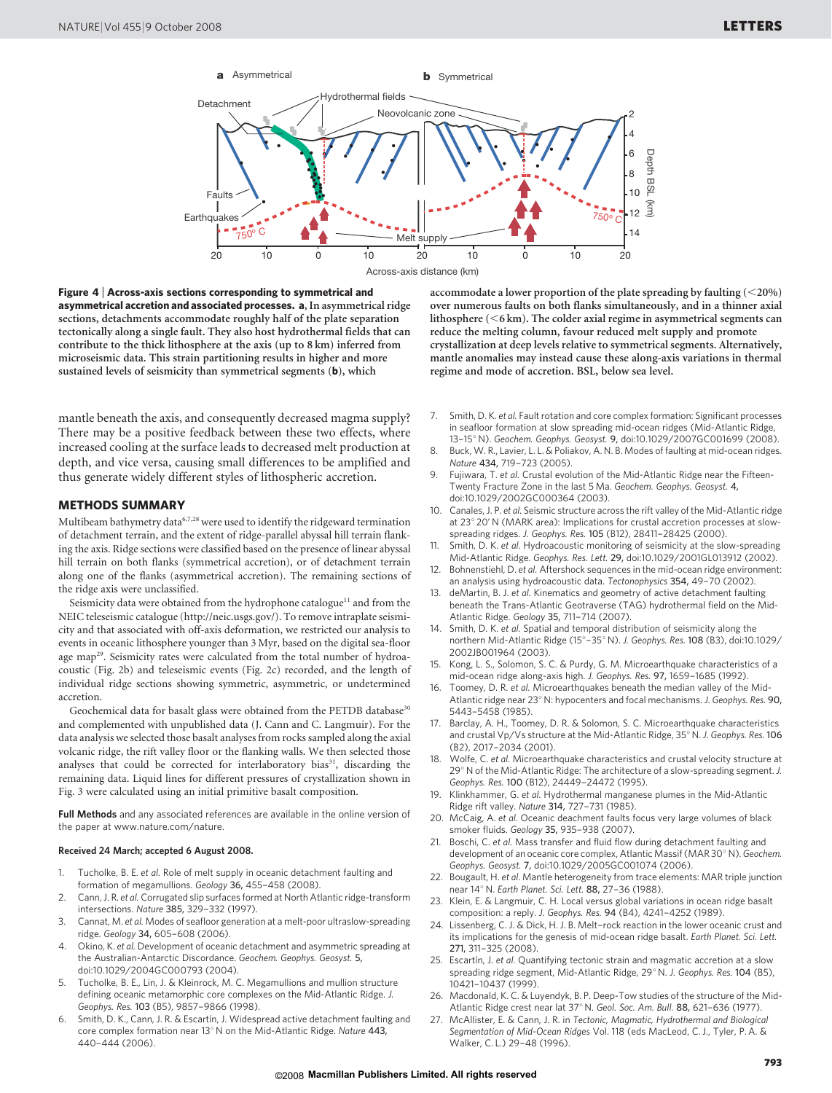

Figure 4 <sup>|</sup> Across-axis sections corresponding to symmetrical and asymmetrical accretion and associated processes. a, In asymmetrical ridge sections, detachments accommodate roughly half of the plate separation tectonically along a single fault. They also host hydrothermal fields that can contribute to the thick lithosphere at the axis (up to 8 km) inferred from microseismic data. This strain partitioning results in higher and more sustained levels of seismicity than symmetrical segments (b), which

mantle beneath the axis, and consequently decreased magma supply? There may be a positive feedback between these two effects, where increased cooling at the surface leads to decreased melt production at depth, and vice versa, causing small differences to be amplified and thus generate widely different styles of lithospheric accretion.

#### METHODS SUMMARY

Multibeam bathymetry data<sup>6,7,28</sup> were used to identify the ridgeward termination of detachment terrain, and the extent of ridge-parallel abyssal hill terrain flanking the axis. Ridge sections were classified based on the presence of linear abyssal hill terrain on both flanks (symmetrical accretion), or of detachment terrain along one of the flanks (asymmetrical accretion). The remaining sections of the ridge axis were unclassified.

Seismicity data were obtained from the hydrophone catalogue<sup>11</sup> and from the NEIC teleseismic catalogue ([http://neic.usgs.gov/\)](http://neic.usgs.gov). To remove intraplate seismicity and that associated with off-axis deformation, we restricted our analysis to events in oceanic lithosphere younger than 3 Myr, based on the digital sea-floor age map<sup>29</sup>. Seismicity rates were calculated from the total number of hydroacoustic (Fig. 2b) and teleseismic events (Fig. 2c) recorded, and the length of individual ridge sections showing symmetric, asymmetric, or undetermined accretion.

Geochemical data for basalt glass were obtained from the PETDB database<sup>30</sup> and complemented with unpublished data (J. Cann and C. Langmuir). For the data analysis we selected those basalt analyses from rocks sampled along the axial volcanic ridge, the rift valley floor or the flanking walls. We then selected those analyses that could be corrected for interlaboratory bias<sup>31</sup>, discarding the remaining data. Liquid lines for different pressures of crystallization shown in Fig. 3 were calculated using an initial primitive basalt composition.

Full Methods and any associated references are available in the online version of the paper at<www.nature.com/nature>.

### Received 24 March; accepted 6 August 2008.

- 1. Tucholke, B. E. et al. Role of melt supply in oceanic detachment faulting and formation of megamullions. Geology 36, 455–458 (2008).
- 2. Cann, J. R. et al. Corrugated slip surfaces formed at North Atlantic ridge-transform intersections. Nature 385, 329–332 (1997).
- 3. Cannat, M. et al. Modes of seafloor generation at a melt-poor ultraslow-spreading ridge. Geology 34, 605–608 (2006).
- 4. Okino, K. et al. Development of oceanic detachment and asymmetric spreading at the Australian-Antarctic Discordance. Geochem. Geophys. Geosyst. 5, doi:10.1029/2004GC000793 (2004).
- 5. Tucholke, B. E., Lin, J. & Kleinrock, M. C. Megamullions and mullion structure defining oceanic metamorphic core complexes on the Mid-Atlantic Ridge. J. Geophys. Res. 103 (B5), 9857–9866 (1998).
- Smith, D. K., Cann, J. R. & Escartín, J. Widespread active detachment faulting and core complex formation near 13 $^{\circ}$  N on the Mid-Atlantic Ridge. Nature 443, 440–444 (2006).

accommodate a lower proportion of the plate spreading by faulting  $(<$  20%) over numerous faults on both flanks simultaneously, and in a thinner axial lithosphere  $(<6 \text{ km})$ . The colder axial regime in asymmetrical segments can reduce the melting column, favour reduced melt supply and promote crystallization at deep levels relative to symmetrical segments. Alternatively, mantle anomalies may instead cause these along-axis variations in thermal regime and mode of accretion. BSL, below sea level.

- 7. Smith, D. K. et al. Fault rotation and core complex formation: Significant processes in seafloor formation at slow spreading mid-ocean ridges (Mid-Atlantic Ridge, 13-15° N). Geochem. Geophys. Geosyst. 9, doi:10.1029/2007GC001699 (2008).
- 8. Buck, W. R., Lavier, L. L. & Poliakov, A. N. B. Modes of faulting at mid-ocean ridges. Nature 434, 719–723 (2005).
- 9. Fujiwara, T. et al. Crustal evolution of the Mid-Atlantic Ridge near the Fifteen-Twenty Fracture Zone in the last 5 Ma. Geochem. Geophys. Geosyst. 4, doi:10.1029/2002GC000364 (2003).
- 10. Canales, J. P. et al. Seismic structure across the rift valley of the Mid-Atlantic ridge at 23° 20' N (MARK area): Implications for crustal accretion processes at slowspreading ridges. J. Geophys. Res. 105 (B12), 28411–28425 (2000).
- 11. Smith, D. K. et al. Hydroacoustic monitoring of seismicity at the slow-spreading Mid-Atlantic Ridge. Geophys. Res. Lett. 29, doi:10.1029/2001GL013912 (2002).
- 12. Bohnenstiehl, D. et al. Aftershock sequences in the mid-ocean ridge environment: an analysis using hydroacoustic data. Tectonophysics 354, 49–70 (2002).
- 13. deMartin, B. J. et al. Kinematics and geometry of active detachment faulting beneath the Trans-Atlantic Geotraverse (TAG) hydrothermal field on the Mid-Atlantic Ridge. Geology 35, 711–714 (2007).
- 14. Smith, D. K. et al. Spatial and temporal distribution of seismicity along the northern Mid-Atlantic Ridge (15°-35° N). J. Geophys. Res. 108 (B3), doi:10.1029/ 2002JB001964 (2003).
- 15. Kong, L. S., Solomon, S. C. & Purdy, G. M. Microearthquake characteristics of a mid-ocean ridge along-axis high. J. Geophys. Res. 97, 1659–1685 (1992).
- 16. Toomey, D. R. et al. Microearthquakes beneath the median valley of the Mid-Atlantic ridge near 23° N: hypocenters and focal mechanisms. J. Geophys. Res. 90, 5443–5458 (1985).
- 17. Barclay, A. H., Toomey, D. R. & Solomon, S. C. Microearthquake characteristics and crustal Vp/Vs structure at the Mid-Atlantic Ridge, 35° N. J. Geophys. Res. 106 (B2), 2017–2034 (2001).
- 18. Wolfe, C. et al. Microearthquake characteristics and crustal velocity structure at 29° N of the Mid-Atlantic Ridge: The architecture of a slow-spreading segment. J. Geophys. Res. 100 (B12), 24449–24472 (1995).
- Klinkhammer, G. et al. Hydrothermal manganese plumes in the Mid-Atlantic Ridge rift valley. Nature 314, 727–731 (1985).
- 20. McCaig, A. et al. Oceanic deachment faults focus very large volumes of black smoker fluids. Geology 35, 935–938 (2007).
- 21. Boschi, C. et al. Mass transfer and fluid flow during detachment faulting and development of an oceanic core complex, Atlantic Massif (MAR 30° N). Geochem. Geophys. Geosyst. 7, doi:10.1029/2005GC001074 (2006).
- 22. Bougault, H. et al. Mantle heterogeneity from trace elements: MAR triple junction near 14° N. Earth Planet. Sci. Lett. 88, 27-36 (1988).
- 23. Klein, E. & Langmuir, C. H. Local versus global variations in ocean ridge basalt composition: a reply. J. Geophys. Res. 94 (B4), 4241–4252 (1989).
- 24. Lissenberg, C. J. & Dick, H. J. B. Melt–rock reaction in the lower oceanic crust and its implications for the genesis of mid-ocean ridge basalt. Earth Planet. Sci. Lett. 271, 311–325 (2008).
- 25. Escartín, J. et al. Quantifying tectonic strain and magmatic accretion at a slow spreading ridge segment, Mid-Atlantic Ridge, 29° N. J. Geophys. Res. 104 (B5), 10421–10437 (1999).
- 26. Macdonald, K. C. & Luyendyk, B. P. Deep-Tow studies of the structure of the Mid-Atlantic Ridge crest near lat 37° N. Geol. Soc. Am. Bull. 88, 621-636 (1977).
- 27. McAllister, E. & Cann, J. R. in Tectonic, Magmatic, Hydrothermal and Biological Segmentation of Mid-Ocean Ridges Vol. 118 (eds MacLeod, C. J., Tyler, P. A. & Walker, C. L.) 29–48 (1996).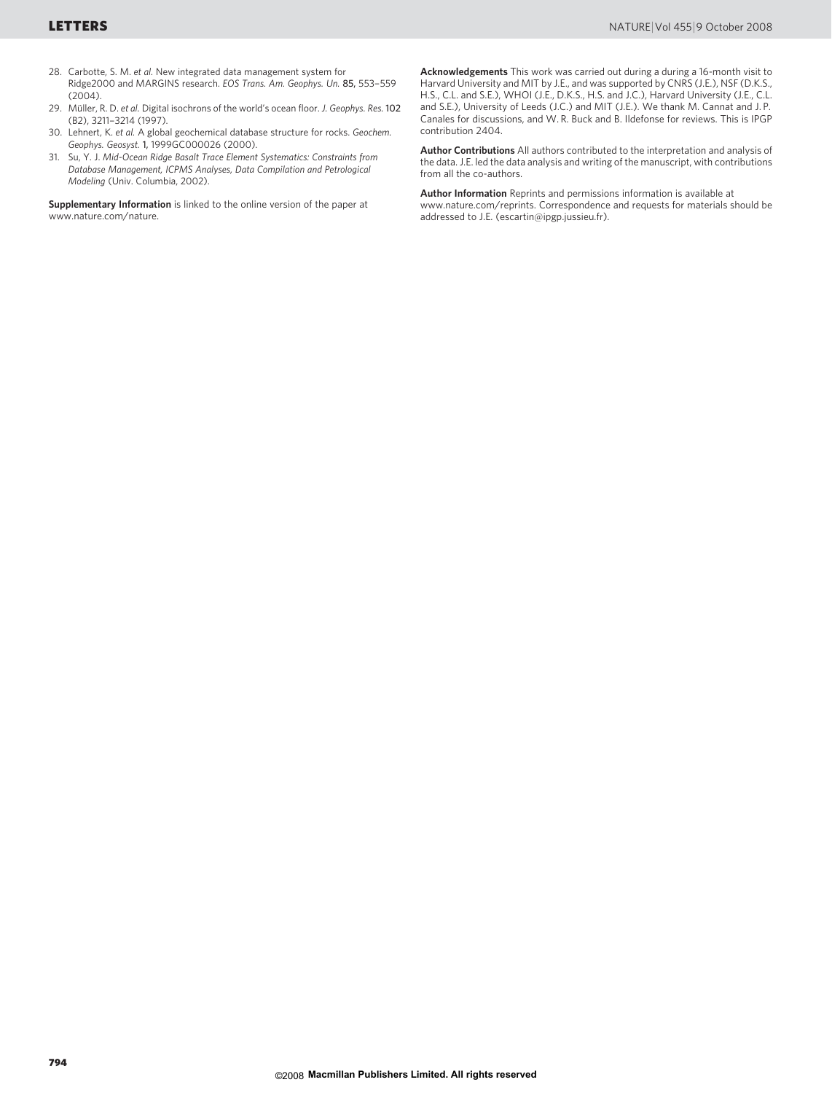- 28. Carbotte, S. M. et al. New integrated data management system for Ridge2000 and MARGINS research. EOS Trans. Am. Geophys. Un. 85, 553–559  $(2004)$ .
- 29. Müller, R. D. et al. Digital isochrons of the world's ocean floor. J. Geophys. Res. 102 (B2), 3211–3214 (1997).
- 30. Lehnert, K. et al. A global geochemical database structure for rocks. Geochem. Geophys. Geosyst. 1, 1999GC000026 (2000).
- 31. Su, Y. J. Mid-Ocean Ridge Basalt Trace Element Systematics: Constraints from Database Management, ICPMS Analyses, Data Compilation and Petrological Modeling (Univ. Columbia, 2002).

Supplementary Information is linked to the online version of the paper at <www.nature.com/nature>.

Acknowledgements This work was carried out during a during a 16-month visit to Harvard University and MIT by J.E., and was supported by CNRS (J.E.), NSF (D.K.S., H.S., C.L. and S.E.), WHOI (J.E., D.K.S., H.S. and J.C.), Harvard University (J.E., C.L. and S.E.), University of Leeds (J.C.) and MIT (J.E.). We thank M. Cannat and J. P. Canales for discussions, and W. R. Buck and B. Ildefonse for reviews. This is IPGP contribution 2404.

Author Contributions All authors contributed to the interpretation and analysis of the data. J.E. led the data analysis and writing of the manuscript, with contributions from all the co-authors.

Author Information Reprints and permissions information is available at <www.nature.com/reprints>. Correspondence and requests for materials should be addressed to J.E. [\(escartin@ipgp.jussieu.fr\).](mailto:escartin@ipgp.jussieu.fr)